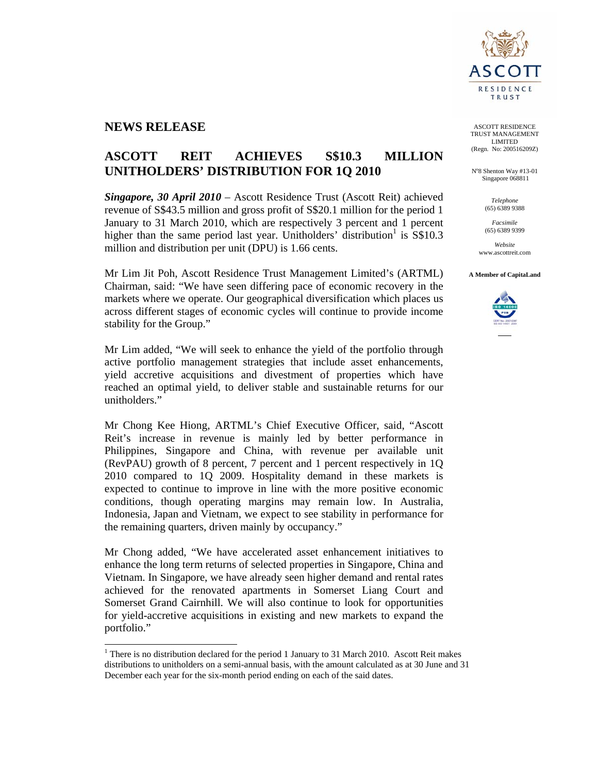

## **NEWS RELEASE**

 $\overline{a}$ 

# **ASCOTT REIT ACHIEVES S\$10.3 MILLION UNITHOLDERS' DISTRIBUTION FOR 1Q 2010**

*Singapore, 30 April 2010* – Ascott Residence Trust (Ascott Reit) achieved revenue of S\$43.5 million and gross profit of S\$20.1 million for the period 1 January to 31 March 2010, which are respectively 3 percent and 1 percent higher than the same period last year. Unitholders' distribution<sup>1</sup> is  $S$10.3$ million and distribution per unit (DPU) is 1.66 cents.

Mr Lim Jit Poh, Ascott Residence Trust Management Limited's (ARTML) Chairman, said: "We have seen differing pace of economic recovery in the markets where we operate. Our geographical diversification which places us across different stages of economic cycles will continue to provide income stability for the Group."

Mr Lim added, "We will seek to enhance the yield of the portfolio through active portfolio management strategies that include asset enhancements, yield accretive acquisitions and divestment of properties which have reached an optimal yield, to deliver stable and sustainable returns for our unitholders."

Mr Chong Kee Hiong, ARTML's Chief Executive Officer, said, "Ascott Reit's increase in revenue is mainly led by better performance in Philippines, Singapore and China, with revenue per available unit (RevPAU) growth of 8 percent, 7 percent and 1 percent respectively in 1Q 2010 compared to 1Q 2009. Hospitality demand in these markets is expected to continue to improve in line with the more positive economic conditions, though operating margins may remain low. In Australia, Indonesia, Japan and Vietnam, we expect to see stability in performance for the remaining quarters, driven mainly by occupancy."

Mr Chong added, "We have accelerated asset enhancement initiatives to enhance the long term returns of selected properties in Singapore, China and Vietnam. In Singapore, we have already seen higher demand and rental rates achieved for the renovated apartments in Somerset Liang Court and Somerset Grand Cairnhill. We will also continue to look for opportunities for yield-accretive acquisitions in existing and new markets to expand the portfolio."

ASCOTT RESIDENCE TRUST MANAGEMENT LIMITED (Regn. No: 200516209Z)

N°8 Shenton Way #13-01 Singapore 068811

> *Telephone*  (65) 6389 9388

*Facsimile*  (65) 6389 9399

*Website*  www.ascottreit.com

**A Member of CapitaLand** 



<sup>&</sup>lt;sup>1</sup> There is no distribution declared for the period 1 January to 31 March 2010. Ascott Reit makes distributions to unitholders on a semi-annual basis, with the amount calculated as at 30 June and 31 December each year for the six-month period ending on each of the said dates.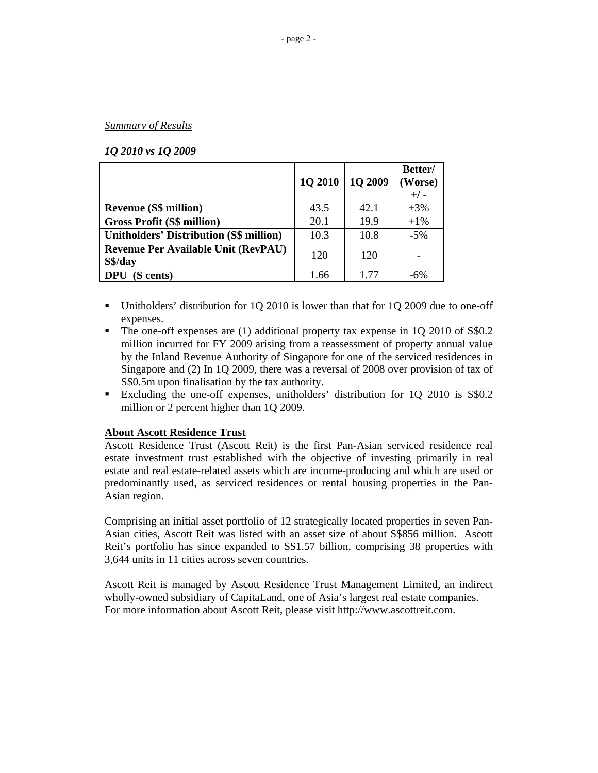## *Summary of Results*

*1Q 2010 vs 1Q 2009* 

|                                                       | <b>1Q 2010</b> | <b>1Q 2009</b> | Better/<br>(Worse)<br>$+/-$ |
|-------------------------------------------------------|----------------|----------------|-----------------------------|
| <b>Revenue (S\$ million)</b>                          | 43.5           | 42.1           | $+3%$                       |
| <b>Gross Profit (S\$ million)</b>                     | 20.1           | 19.9           | $+1\%$                      |
| <b>Unitholders' Distribution (S\$ million)</b>        | 10.3           | 10.8           | $-5\%$                      |
| <b>Revenue Per Available Unit (RevPAU)</b><br>S\$/day | 120            | 120            |                             |
| <b>DPU</b><br>(S cents)                               | 1.66           | 1.77           | $-6%$                       |

- Unitholders' distribution for 1Q 2010 is lower than that for 1Q 2009 due to one-off expenses.
- The one-off expenses are (1) additional property tax expense in 1Q 2010 of S\$0.2 million incurred for FY 2009 arising from a reassessment of property annual value by the Inland Revenue Authority of Singapore for one of the serviced residences in Singapore and (2) In 1Q 2009, there was a reversal of 2008 over provision of tax of S\$0.5m upon finalisation by the tax authority.
- Excluding the one-off expenses, unitholders' distribution for 1Q 2010 is S\$0.2 million or 2 percent higher than 1Q 2009.

## **About Ascott Residence Trust**

Ascott Residence Trust (Ascott Reit) is the first Pan-Asian serviced residence real estate investment trust established with the objective of investing primarily in real estate and real estate-related assets which are income-producing and which are used or predominantly used, as serviced residences or rental housing properties in the Pan-Asian region.

Comprising an initial asset portfolio of 12 strategically located properties in seven Pan-Asian cities, Ascott Reit was listed with an asset size of about S\$856 million. Ascott Reit's portfolio has since expanded to S\$1.57 billion, comprising 38 properties with 3,644 units in 11 cities across seven countries.

Ascott Reit is managed by Ascott Residence Trust Management Limited, an indirect wholly-owned subsidiary of CapitaLand, one of Asia's largest real estate companies. For more information about Ascott Reit, please visit http://www.ascottreit.com.